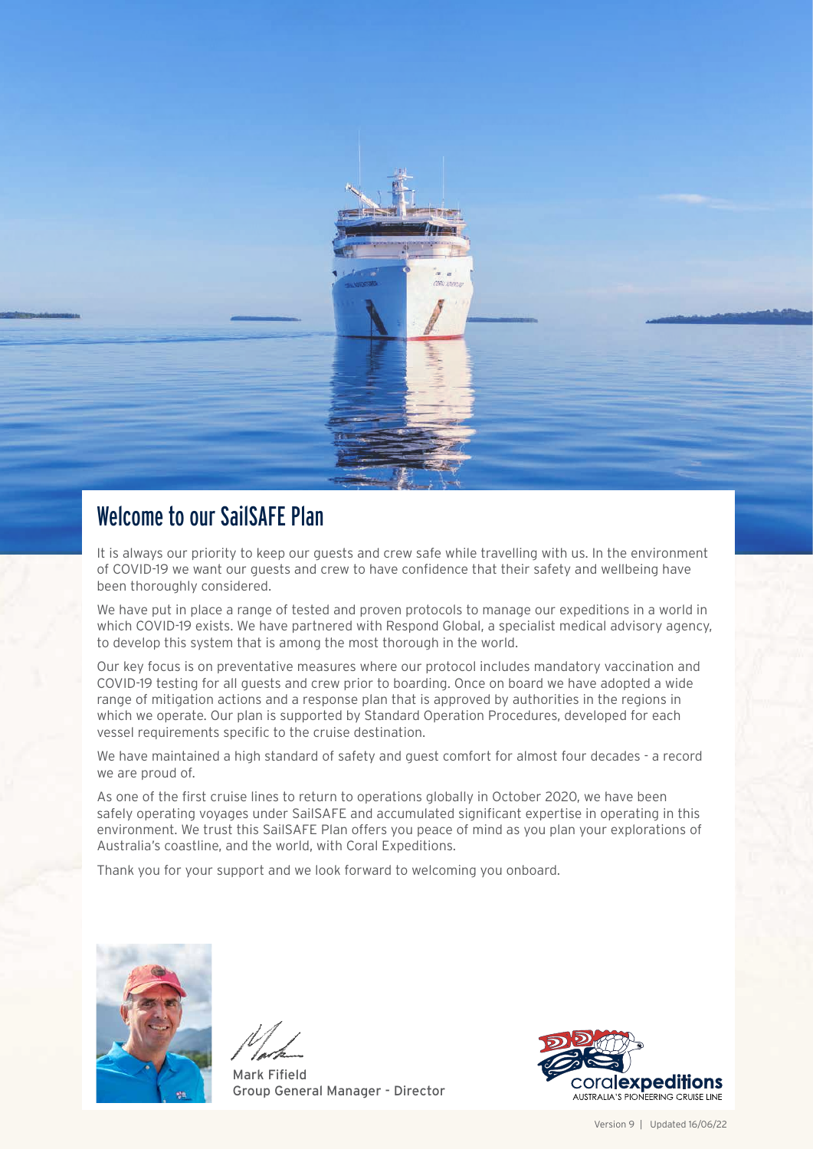

### Welcome to our SailSAFE Plan

It is always our priority to keep our guests and crew safe while travelling with us. In the environment of COVID-19 we want our guests and crew to have confidence that their safety and wellbeing have been thoroughly considered.

We have put in place a range of tested and proven protocols to manage our expeditions in a world in which COVID-19 exists. We have partnered with Respond Global, a specialist medical advisory agency, to develop this system that is among the most thorough in the world.

Our key focus is on preventative measures where our protocol includes mandatory vaccination and COVID-19 testing for all guests and crew prior to boarding. Once on board we have adopted a wide range of mitigation actions and a response plan that is approved by authorities in the regions in which we operate. Our plan is supported by Standard Operation Procedures, developed for each vessel requirements specific to the cruise destination.

We have maintained a high standard of safety and guest comfort for almost four decades - a record we are proud of.

As one of the first cruise lines to return to operations globally in October 2020, we have been safely operating voyages under SailSAFE and accumulated significant expertise in operating in this environment. We trust this SailSAFE Plan offers you peace of mind as you plan your explorations of Australia's coastline, and the world, with Coral Expeditions.

Thank you for your support and we look forward to welcoming you onboard.



Mark Fifield Group General Manager - Director

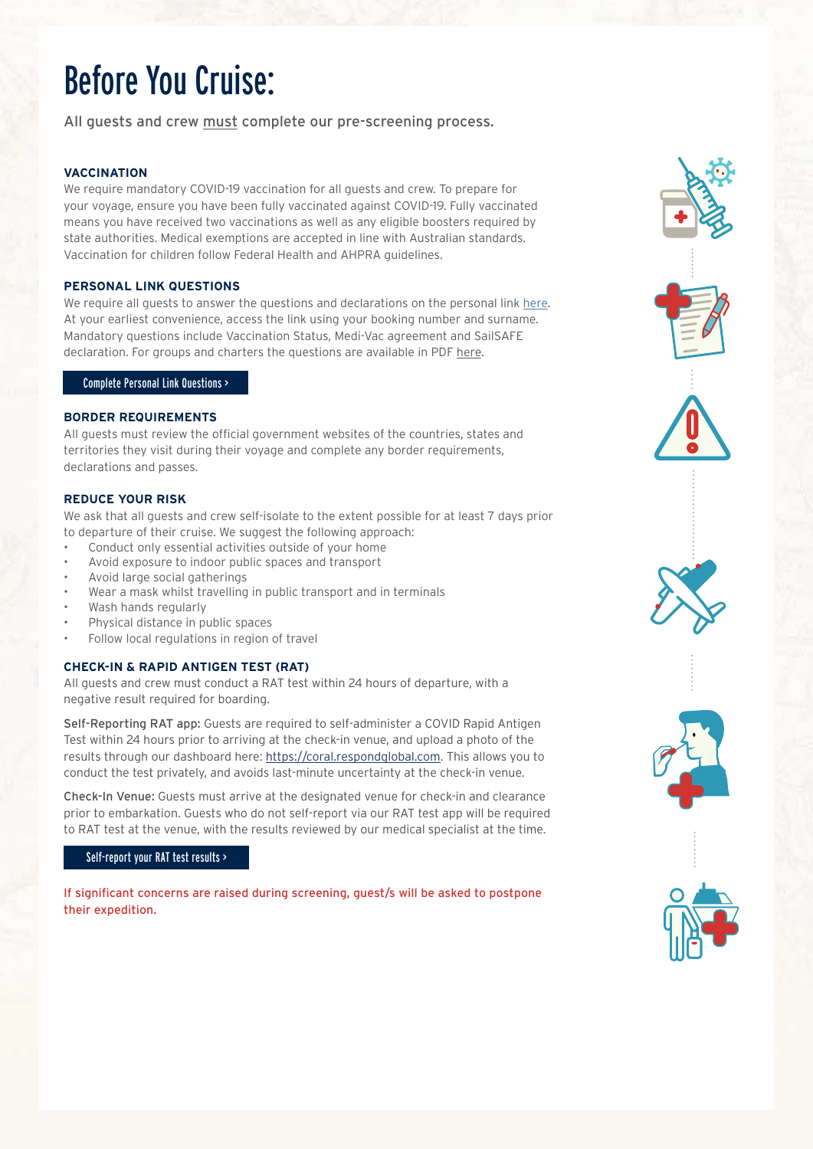## Before You Cruise:

All guests and crew must complete our pre-screening process.

#### **VACCINATION**

We require mandatory COVID-19 vaccination for all quests and crew. To prepare for your voyage, ensure you have been fully vaccinated against COVID-19. Fully vaccinated means you have received two vaccinations as well as any eligible boosters required by state authorities. Medical exemptions are accepted in line with Australian standards. Vaccination for children follow Federal Health and AHPRA guidelines.

#### **PERSONAL LINK QUESTIONS**

We require all quests to answer the questions and declarations on the personal link [here](https://res.coralexpeditions.com/RescoWeb/ResWebManifestJs/). At your earliest convenience, access the link using your booking number and surname. Mandatory questions include Vaccination Status, Medi-Vac agreement and SailSAFE declaration. For groups and charters the questions are available in PDF [here.](https://www.coralexpeditions.com/wp-content/uploads/2020/08/SailSAFE-Guest-Health-Questionnaire-final.pdf)

#### [Complete Personal Link Questions >](https://res.coralexpeditions.com/RescoWeb/ResWebManifestJs/)

#### **BORDER REQUIREMENTS**

All guests must review the official government websites of the countries, states and territories they visit during their voyage and complete any border requirements, declarations and passes.

#### **REDUCE YOUR RISK**

We ask that all guests and crew self-isolate to the extent possible for at least 7 days prior to departure of their cruise. We suggest the following approach:

- Conduct only essential activities outside of your home
- Avoid exposure to indoor public spaces and transport
- Avoid large social gatherings
- Wear a mask whilst travelling in public transport and in terminals
- Wash hands regularly
- Physical distance in public spaces
- Follow local regulations in region of travel

#### **CHECK-IN & RAPID ANTIGEN TEST (RAT)**

All guests and crew must conduct a RAT test within 24 hours of departure, with a negative result required for boarding.

Self-Reporting RAT app: Guests are required to self-administer a COVID Rapid Antigen Test within 24 hours prior to arriving at the check-in venue, and upload a photo of the results through our dashboard here: [https://coral.respondglobal.com.](https://coral.respondglobal.com) This allows you to conduct the test privately, and avoids last-minute uncertainty at the check-in venue.

Check-In Venue: Guests must arrive at the designated venue for check-in and clearance prior to embarkation. Guests who do not self-report via our RAT test app will be required to RAT test at the venue, with the results reviewed by our medical specialist at the time.

#### [Self-report your RAT test results >](https://coral.respondglobal.com)

If significant concerns are raised during screening, guest/s will be asked to postpone their expedition.







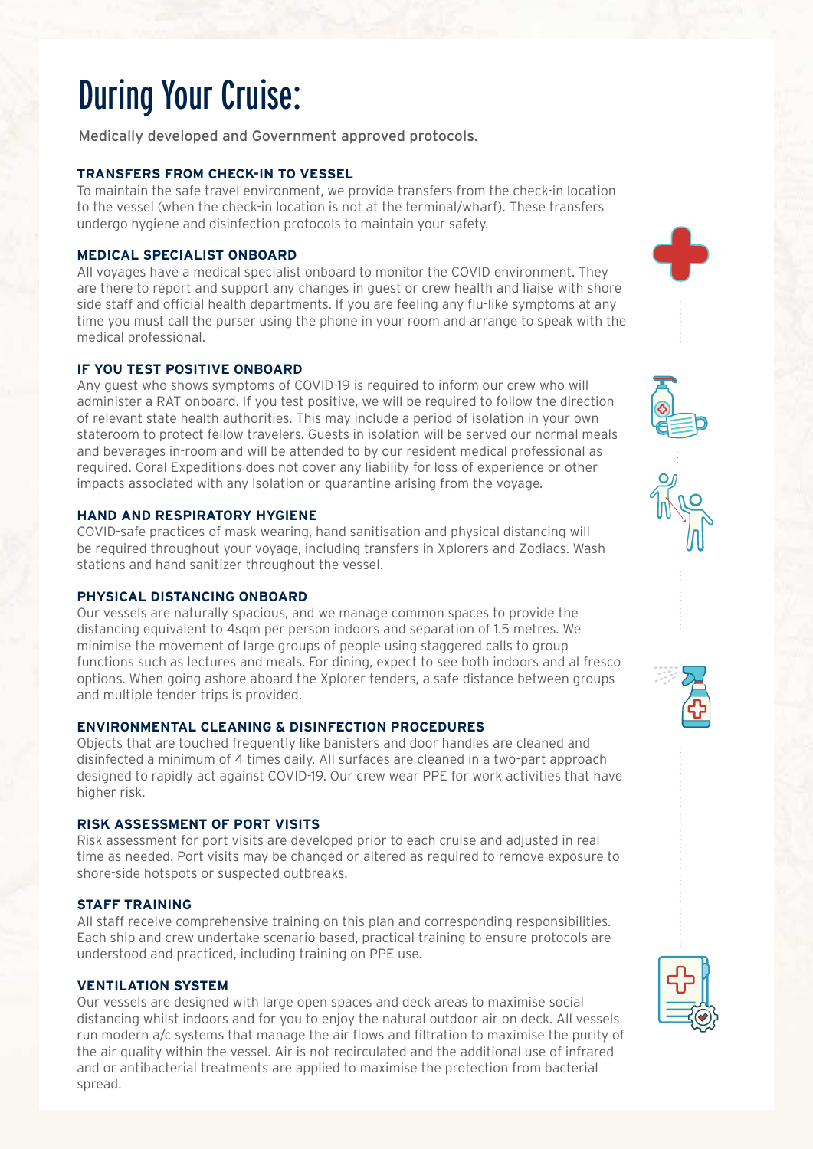# During Your Cruise:

Medically developed and Government approved protocols.

#### **TRANSFERS FROM CHECK-IN TO VESSEL**

To maintain the safe travel environment, we provide transfers from the check-in location to the vessel (when the check-in location is not at the terminal/wharf). These transfers undergo hygiene and disinfection protocols to maintain your safety.

#### **MEDICAL SPECIALIST ONBOARD**

All voyages have a medical specialist onboard to monitor the COVID environment. They are there to report and support any changes in guest or crew health and liaise with shore side staff and official health departments. If you are feeling any flu-like symptoms at any time you must call the purser using the phone in your room and arrange to speak with the medical professional.

#### **IF YOU TEST POSITIVE ONBOARD**

Any guest who shows symptoms of COVID-19 is required to inform our crew who will administer a RAT onboard. If you test positive, we will be required to follow the direction of relevant state health authorities. This may include a period of isolation in your own stateroom to protect fellow travelers. Guests in isolation will be served our normal meals and beverages in-room and will be attended to by our resident medical professional as required. Coral Expeditions does not cover any liability for loss of experience or other impacts associated with any isolation or quarantine arising from the voyage.

#### **HAND AND RESPIRATORY HYGIENE**

COVID-safe practices of mask wearing, hand sanitisation and physical distancing will be required throughout your voyage, including transfers in Xplorers and Zodiacs. Wash stations and hand sanitizer throughout the vessel.

#### **PHYSICAL DISTANCING ONBOARD**

Our vessels are naturally spacious, and we manage common spaces to provide the distancing equivalent to 4sqm per person indoors and separation of 1.5 metres. We minimise the movement of large groups of people using staggered calls to group functions such as lectures and meals. For dining, expect to see both indoors and al fresco options. When going ashore aboard the Xplorer tenders, a safe distance between groups and multiple tender trips is provided.

#### **ENVIRONMENTAL CLEANING & DISINFECTION PROCEDURES**

Objects that are touched frequently like banisters and door handles are cleaned and disinfected a minimum of 4 times daily. All surfaces are cleaned in a two-part approach designed to rapidly act against COVID-19. Our crew wear PPE for work activities that have higher risk.

#### **RISK ASSESSMENT OF PORT VISITS**

Risk assessment for port visits are developed prior to each cruise and adjusted in real time as needed. Port visits may be changed or altered as required to remove exposure to shore-side hotspots or suspected outbreaks.

#### **STAFF TRAINING**

All staff receive comprehensive training on this plan and corresponding responsibilities. Each ship and crew undertake scenario based, practical training to ensure protocols are understood and practiced, including training on PPE use.

#### **VENTILATION SYSTEM**

Our vessels are designed with large open spaces and deck areas to maximise social distancing whilst indoors and for you to enjoy the natural outdoor air on deck. All vessels run modern a/c systems that manage the air flows and filtration to maximise the purity of the air quality within the vessel. Air is not recirculated and the additional use of infrared and or antibacterial treatments are applied to maximise the protection from bacterial spread.